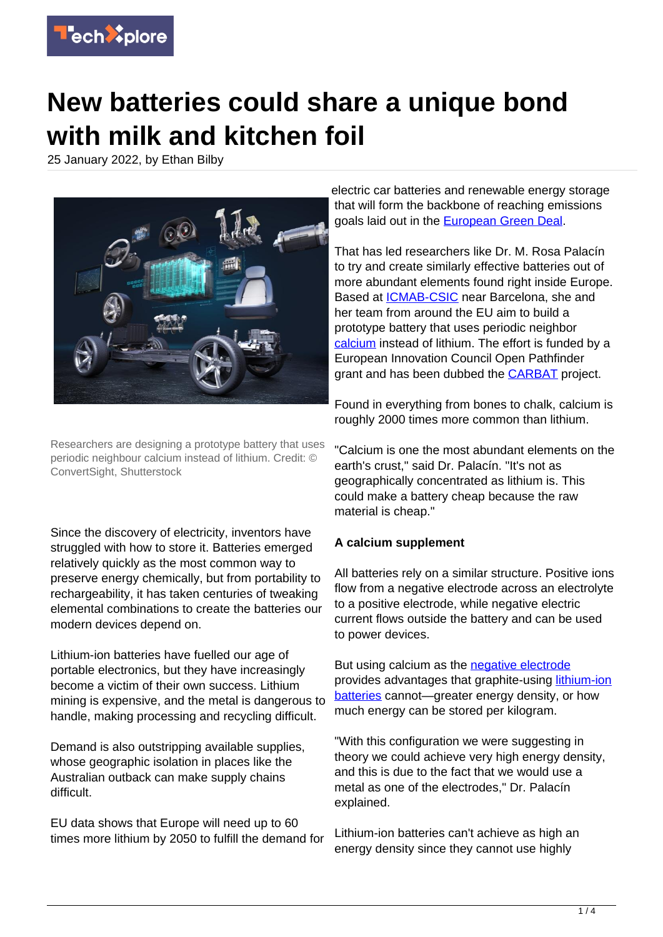

# **New batteries could share a unique bond with milk and kitchen foil**

25 January 2022, by Ethan Bilby



Researchers are designing a prototype battery that uses periodic neighbour calcium instead of lithium. Credit: © ConvertSight, Shutterstock

Since the discovery of electricity, inventors have struggled with how to store it. Batteries emerged relatively quickly as the most common way to preserve energy chemically, but from portability to rechargeability, it has taken centuries of tweaking elemental combinations to create the batteries our modern devices depend on.

Lithium-ion batteries have fuelled our age of portable electronics, but they have increasingly become a victim of their own success. Lithium mining is expensive, and the metal is dangerous to handle, making processing and recycling difficult.

Demand is also outstripping available supplies, whose geographic isolation in places like the Australian outback can make supply chains difficult.

EU data shows that Europe will need up to 60 times more lithium by 2050 to fulfill the demand for

electric car batteries and renewable energy storage that will form the backbone of reaching emissions goals laid out in the [European Green Deal](https://ec.europa.eu/info/strategy/priorities-2019-2024/european-green-deal_en).

That has led researchers like Dr. M. Rosa Palacín to try and create similarly effective batteries out of more abundant elements found right inside Europe. Based at [ICMAB-CSIC](https://icmab.es/) near Barcelona, she and her team from around the EU aim to build a prototype battery that uses periodic neighbor [calcium](https://techxplore.com/tags/calcium/) instead of lithium. The effort is funded by a European Innovation Council Open Pathfinder grant and has been dubbed the [CARBAT](https://cordis.europa.eu/project/id/766617) project.

Found in everything from bones to chalk, calcium is roughly 2000 times more common than lithium.

"Calcium is one the most abundant elements on the earth's crust," said Dr. Palacín. "It's not as geographically concentrated as lithium is. This could make a battery cheap because the raw material is cheap."

# **A calcium supplement**

All batteries rely on a similar structure. Positive ions flow from a negative electrode across an electrolyte to a positive electrode, while negative electric current flows outside the battery and can be used to power devices.

But using calcium as the [negative electrode](https://techxplore.com/tags/negative+electrode/) provides advantages that graphite-using [lithium-ion](https://techxplore.com/tags/lithium-ion+batteries/) [batteries](https://techxplore.com/tags/lithium-ion+batteries/) cannot—greater energy density, or how much energy can be stored per kilogram.

"With this configuration we were suggesting in theory we could achieve very high energy density, and this is due to the fact that we would use a metal as one of the electrodes," Dr. Palacín explained.

Lithium-ion batteries can't achieve as high an energy density since they cannot use highly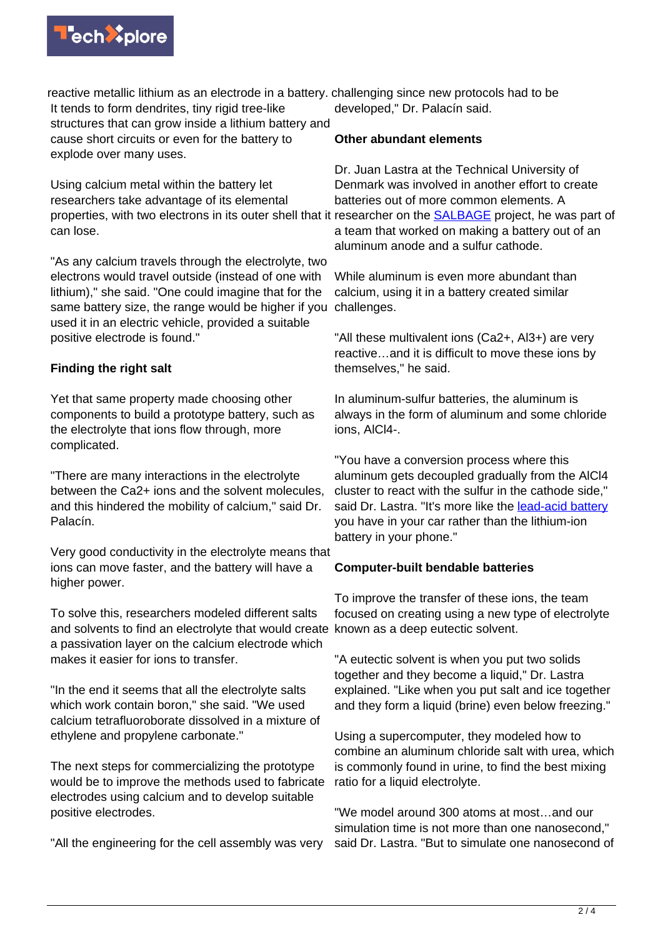

reactive metallic lithium as an electrode in a battery. challenging since new protocols had to be It tends to form dendrites, tiny rigid tree-like structures that can grow inside a lithium battery and cause short circuits or even for the battery to explode over many uses.

Using calcium metal within the battery let researchers take advantage of its elemental can lose.

"As any calcium travels through the electrolyte, two electrons would travel outside (instead of one with lithium)," she said. "One could imagine that for the same battery size, the range would be higher if you used it in an electric vehicle, provided a suitable positive electrode is found."

# **Finding the right salt**

Yet that same property made choosing other components to build a prototype battery, such as the electrolyte that ions flow through, more complicated.

"There are many interactions in the electrolyte between the Ca2+ ions and the solvent molecules, and this hindered the mobility of calcium," said Dr. Palacín.

Very good conductivity in the electrolyte means that ions can move faster, and the battery will have a higher power.

To solve this, researchers modeled different salts and solvents to find an electrolyte that would create known as a deep eutectic solvent. a passivation layer on the calcium electrode which makes it easier for ions to transfer.

"In the end it seems that all the electrolyte salts which work contain boron," she said. "We used calcium tetrafluoroborate dissolved in a mixture of ethylene and propylene carbonate."

The next steps for commercializing the prototype would be to improve the methods used to fabricate electrodes using calcium and to develop suitable positive electrodes.

"All the engineering for the cell assembly was very

developed," Dr. Palacín said.

### **Other abundant elements**

properties, with two electrons in its outer shell that it researcher on the **[SALBAGE](https://cordis.europa.eu/project/id/766581)** project, he was part of Dr. Juan Lastra at the Technical University of Denmark was involved in another effort to create batteries out of more common elements. A a team that worked on making a battery out of an aluminum anode and a sulfur cathode.

> While aluminum is even more abundant than calcium, using it in a battery created similar challenges.

"All these multivalent ions (Ca2+, Al3+) are very reactive…and it is difficult to move these ions by themselves," he said.

In aluminum-sulfur batteries, the aluminum is always in the form of aluminum and some chloride ions, AlCl4-.

"You have a conversion process where this aluminum gets decoupled gradually from the AlCl4 cluster to react with the sulfur in the cathode side," said Dr. Lastra. "It's more like the [lead-acid battery](https://techxplore.com/tags/lead-acid+battery/) you have in your car rather than the lithium-ion battery in your phone."

### **Computer-built bendable batteries**

To improve the transfer of these ions, the team focused on creating using a new type of electrolyte

"A eutectic solvent is when you put two solids together and they become a liquid," Dr. Lastra explained. "Like when you put salt and ice together and they form a liquid (brine) even below freezing."

Using a supercomputer, they modeled how to combine an aluminum chloride salt with urea, which is commonly found in urine, to find the best mixing ratio for a liquid electrolyte.

"We model around 300 atoms at most…and our simulation time is not more than one nanosecond," said Dr. Lastra. "But to simulate one nanosecond of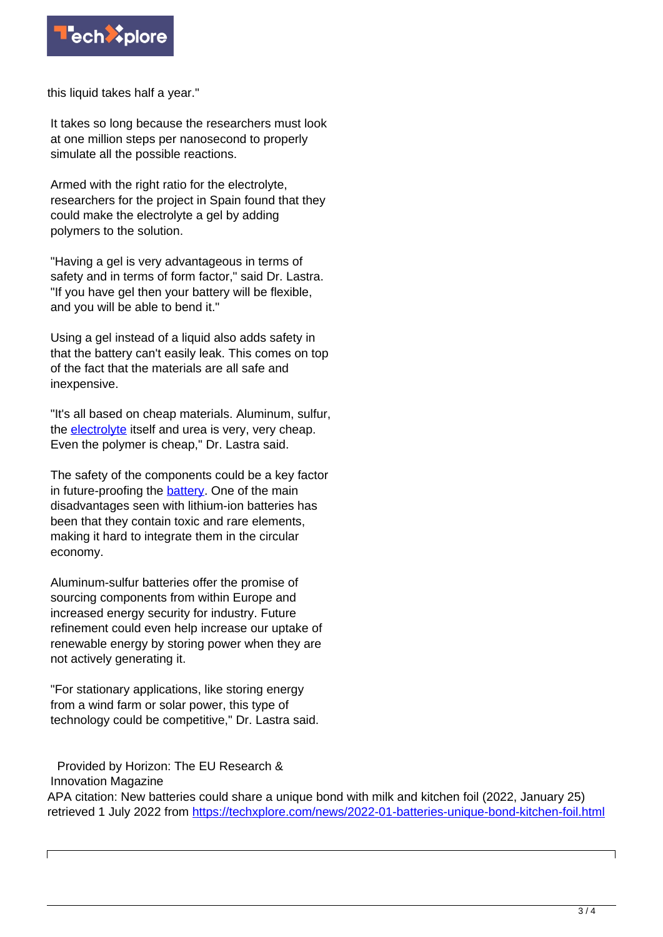

this liquid takes half a year."

It takes so long because the researchers must look at one million steps per nanosecond to properly simulate all the possible reactions.

Armed with the right ratio for the electrolyte, researchers for the project in Spain found that they could make the electrolyte a gel by adding polymers to the solution.

"Having a gel is very advantageous in terms of safety and in terms of form factor," said Dr. Lastra. "If you have gel then your battery will be flexible, and you will be able to bend it."

Using a gel instead of a liquid also adds safety in that the battery can't easily leak. This comes on top of the fact that the materials are all safe and inexpensive.

"It's all based on cheap materials. Aluminum, sulfur, the [electrolyte](https://techxplore.com/tags/electrolyte/) itself and urea is very, very cheap. Even the polymer is cheap," Dr. Lastra said.

The safety of the components could be a key factor in future-proofing the **battery**. One of the main disadvantages seen with lithium-ion batteries has been that they contain toxic and rare elements, making it hard to integrate them in the circular economy.

Aluminum-sulfur batteries offer the promise of sourcing components from within Europe and increased energy security for industry. Future refinement could even help increase our uptake of renewable energy by storing power when they are not actively generating it.

"For stationary applications, like storing energy from a wind farm or solar power, this type of technology could be competitive," Dr. Lastra said.

 Provided by Horizon: The EU Research & Innovation Magazine APA citation: New batteries could share a unique bond with milk and kitchen foil (2022, January 25) retrieved 1 July 2022 from <https://techxplore.com/news/2022-01-batteries-unique-bond-kitchen-foil.html>